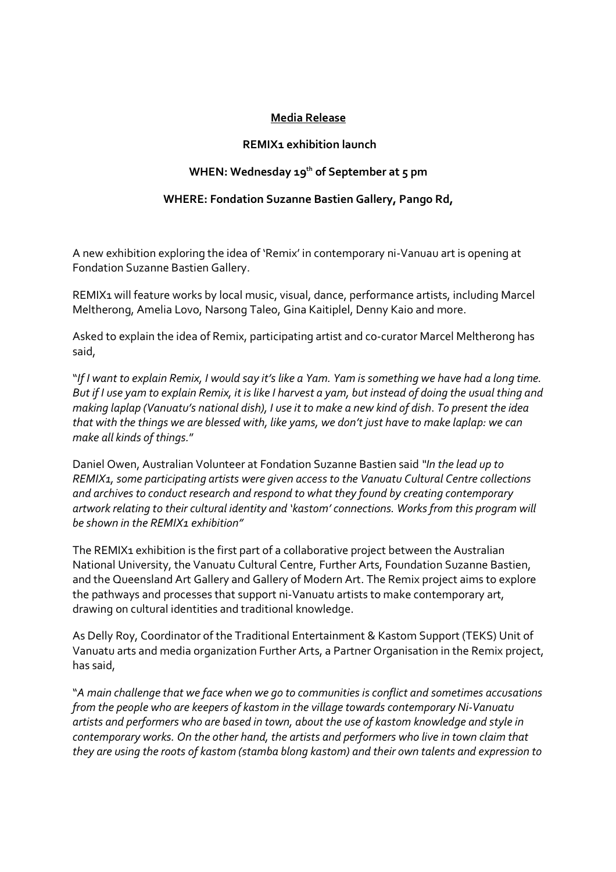## Media Release

## REMIX1 exhibition launch

## WHEN: Wednesday  $19^{th}$  of September at 5 pm

## WHERE: Fondation Suzanne Bastien Gallery, Pango Rd,

A new exhibition exploring the idea of 'Remix' in contemporary ni-Vanuau art is opening at Fondation Suzanne Bastien Gallery.

REMIX1 will feature works by local music, visual, dance, performance artists, including Marcel Meltherong, Amelia Lovo, Narsong Taleo, Gina Kaitiplel, Denny Kaio and more.

Asked to explain the idea of Remix, participating artist and co-curator Marcel Meltherong has said,

"If I want to explain Remix, I would say it's like a Yam. Yam is something we have had a long time. But if I use yam to explain Remix, it is like I harvest a yam, but instead of doing the usual thing and making laplap (Vanuatu's national dish), I use it to make a new kind of dish. To present the idea that with the things we are blessed with, like yams, we don't just have to make laplap: we can make all kinds of things."

Daniel Owen, Australian Volunteer at Fondation Suzanne Bastien said "In the lead up to REMIX1, some participating artists were given access to the Vanuatu Cultural Centre collections and archives to conduct research and respond to what they found by creating contemporary artwork relating to their cultural identity and 'kastom' connections. Works from this program will be shown in the REMIX1 exhibition"

The REMIX1 exhibition is the first part of a collaborative project between the Australian National University, the Vanuatu Cultural Centre, Further Arts, Foundation Suzanne Bastien, and the Queensland Art Gallery and Gallery of Modern Art. The Remix project aims to explore the pathways and processes that support ni-Vanuatu artists to make contemporary art, drawing on cultural identities and traditional knowledge.

As Delly Roy, Coordinator of the Traditional Entertainment & Kastom Support (TEKS) Unit of Vanuatu arts and media organization Further Arts, a Partner Organisation in the Remix project, has said,

"A main challenge that we face when we go to communities is conflict and sometimes accusations from the people who are keepers of kastom in the village towards contemporary Ni-Vanuatu artists and performers who are based in town, about the use of kastom knowledge and style in contemporary works. On the other hand, the artists and performers who live in town claim that they are using the roots of kastom (stamba blong kastom) and their own talents and expression to